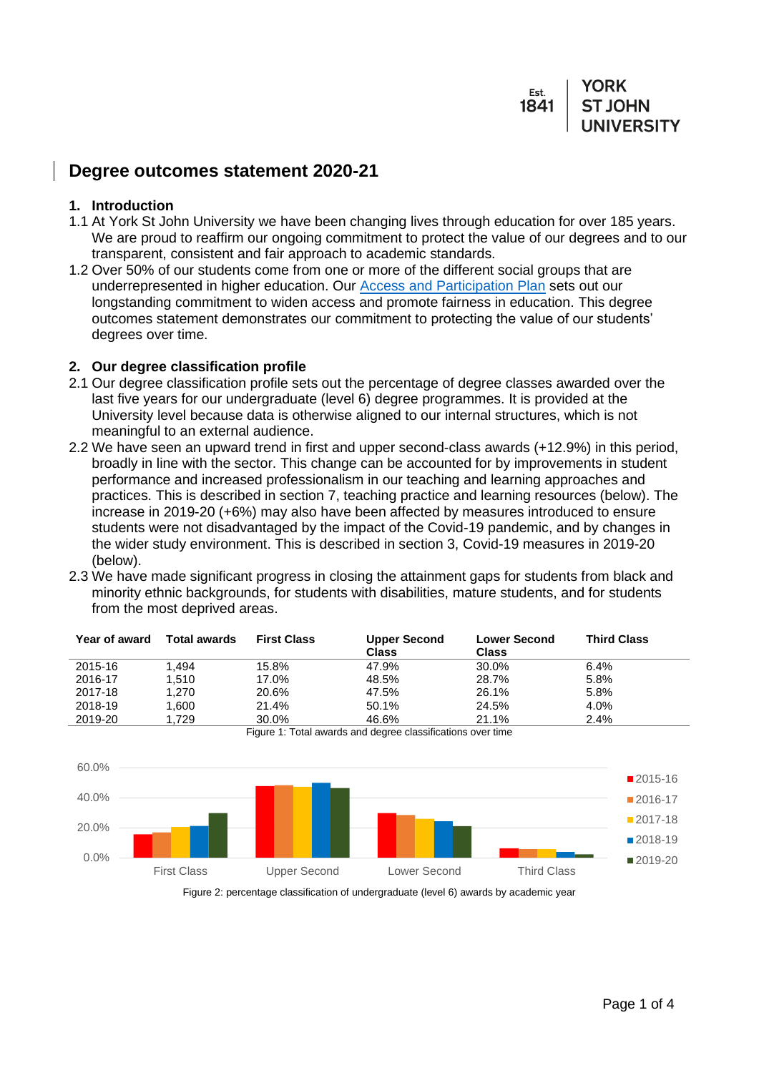#### YORK Est **ST JOHN** 1841

# **Degree outcomes statement 2020-21**

#### **1. Introduction**

- 1.1 At York St John University we have been changing lives through education for over 185 years. We are proud to reaffirm our ongoing commitment to protect the value of our degrees and to our transparent, consistent and fair approach to academic standards.
- 1.2 Over 50% of our students come from one or more of the different social groups that are underrepresented in higher education. Our [Access and Participation Plan](https://www.yorksj.ac.uk/media/development-assets/common-footer/Access-and-participation-plan-2020-21-to-2024-25.pdf) sets out our longstanding commitment to widen access and promote fairness in education. This degree outcomes statement demonstrates our commitment to protecting the value of our students' degrees over time.

### **2. Our degree classification profile**

- 2.1 Our degree classification profile sets out the percentage of degree classes awarded over the last five years for our undergraduate (level 6) degree programmes. It is provided at the University level because data is otherwise aligned to our internal structures, which is not meaningful to an external audience.
- 2.2 We have seen an upward trend in first and upper second-class awards (+12.9%) in this period, broadly in line with the sector. This change can be accounted for by improvements in student performance and increased professionalism in our teaching and learning approaches and practices. This is described in section 7, teaching practice and learning resources (below). The increase in 2019-20 (+6%) may also have been affected by measures introduced to ensure students were not disadvantaged by the impact of the Covid-19 pandemic, and by changes in the wider study environment. This is described in section 3, Covid-19 measures in 2019-20 (below).
- 2.3 We have made significant progress in closing the attainment gaps for students from black and minority ethnic backgrounds, for students with disabilities, mature students, and for students from the most deprived areas.

| <b>Year of award</b> | <b>Total awards</b> | <b>First Class</b> | <b>Upper Second</b><br><b>Class</b> | <b>Lower Second</b><br>Class | <b>Third Class</b> |
|----------------------|---------------------|--------------------|-------------------------------------|------------------------------|--------------------|
| 2015-16              | 1.494               | 15.8%              | 47.9%                               | 30.0%                        | 6.4%               |
| 2016-17              | 1.510               | 17.0%              | 48.5%                               | 28.7%                        | 5.8%               |
| 2017-18              | 1,270               | 20.6%              | 47.5%                               | 26.1%                        | 5.8%               |
| 2018-19              | 1.600               | 21.4%              | 50.1%                               | 24.5%                        | 4.0%               |
| 2019-20              | 1.729               | 30.0%              | 46.6%<br>$\cdots$<br>.              | 21.1%                        | 2.4%               |



Figure 1: Total awards and degree classifications over time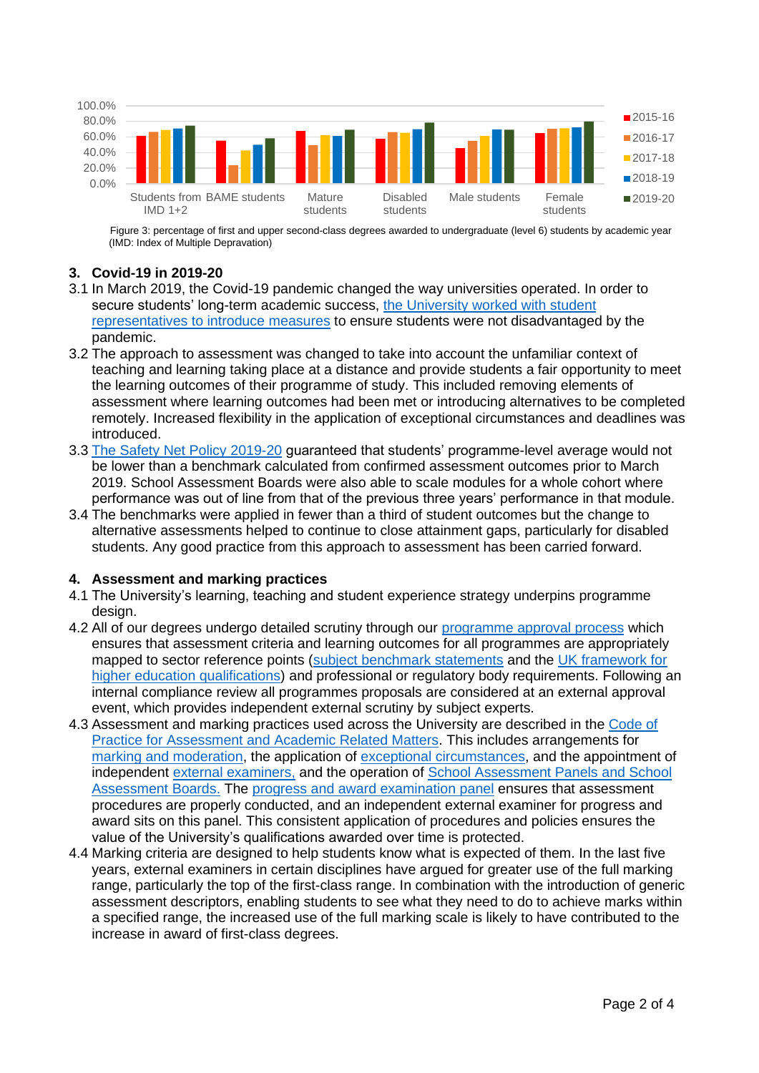

Figure 3: percentage of first and upper second-class degrees awarded to undergraduate (level 6) students by academic year (IMD: Index of Multiple Depravation)

### **3. Covid-19 in 2019-20**

- 3.1 In March 2019, the Covid-19 pandemic changed the way universities operated. In order to secure students' long-term academic success, the University worked with student representatives [to introduce measures](https://www.yorksj.ac.uk/students/exams-and-assessment/covid-19-assessment-arrangements/) to ensure students were not disadvantaged by the pandemic.
- 3.2 The approach to assessment was changed to take into account the unfamiliar context of teaching and learning taking place at a distance and provide students a fair opportunity to meet the learning outcomes of their programme of study. This included removing elements of assessment where learning outcomes had been met or introducing alternatives to be completed remotely. Increased flexibility in the application of exceptional circumstances and deadlines was introduced.
- 3.3 [The Safety Net Policy 2019-20](https://www.yorksj.ac.uk/students/exams-and-assessment/covid-19-assessment-arrangements/safety-net-policy-2019-20-/) guaranteed that students' programme-level average would not be lower than a benchmark calculated from confirmed assessment outcomes prior to March 2019. School Assessment Boards were also able to scale modules for a whole cohort where performance was out of line from that of the previous three years' performance in that module.
- 3.4 The benchmarks were applied in fewer than a third of student outcomes but the change to alternative assessments helped to continue to close attainment gaps, particularly for disabled students. Any good practice from this approach to assessment has been carried forward.

### **4. Assessment and marking practices**

- 4.1 The University's learning, teaching and student experience strategy underpins programme design.
- 4.2 All of our degrees undergo detailed scrutiny through our [programme approval process](https://www.yorksj.ac.uk/registry/quality-gateway/programme-design-amendment--approval/validation-and-revalidation-process/) which ensures that assessment criteria and learning outcomes for all programmes are appropriately mapped to sector reference points [\(subject benchmark statements](https://www.qaa.ac.uk/en/quality-code/subject-benchmark-statements) and the [UK framework for](https://www.qaa.ac.uk/en/quality-code/qualifications-and-credit-frameworks)  [higher education qualifications\)](https://www.qaa.ac.uk/en/quality-code/qualifications-and-credit-frameworks) and professional or regulatory body requirements. Following an internal compliance review all programmes proposals are considered at an external approval event, which provides independent external scrutiny by subject experts.
- 4.3 Assessment and marking practices used across the University are described in the [Code of](https://www.yorksj.ac.uk/registry/assessment/code-of-practice-for-assessment/)  [Practice for Assessment and Academic Related Matters.](https://www.yorksj.ac.uk/registry/assessment/code-of-practice-for-assessment/) This includes arrangements for [marking and moderation,](https://www.yorksj.ac.uk/media/content-assets/registry/policies/code-of-practice-for-assessment/26.Marking_and_Moderation_Policy_2019-20.pdf) the application of [exceptional circumstances,](https://www.yorksj.ac.uk/media/content-assets/registry/policies/code-of-practice-for-assessment/15.Exceptional_Circumstances_Policy_2019-20.pdf) and the appointment of independent [external examiners,](https://www.yorksj.ac.uk/media/content-assets/registry/policies/code-of-practice-for-assessment/37.External_Examiners_2019-20.pdf) and the operation of School Assessment Panels and School [Assessment Boards.](https://www.yorksj.ac.uk/media/content-assets/registry/policies/code-of-practice-for-assessment/38.School_Assessment_Panels_2019-20.pdf) The [progress and award examination panel](https://www.yorksj.ac.uk/media/content-assets/registry/policies/code-of-practice-for-assessment/41.Progress_and_Award_Examination_Panel_2019-20.pdf) ensures that assessment procedures are properly conducted, and an independent external examiner for progress and award sits on this panel. This consistent application of procedures and policies ensures the value of the University's qualifications awarded over time is protected.
- 4.4 Marking criteria are designed to help students know what is expected of them. In the last five years, external examiners in certain disciplines have argued for greater use of the full marking range, particularly the top of the first-class range. In combination with the introduction of generic assessment descriptors, enabling students to see what they need to do to achieve marks within a specified range, the increased use of the full marking scale is likely to have contributed to the increase in award of first-class degrees.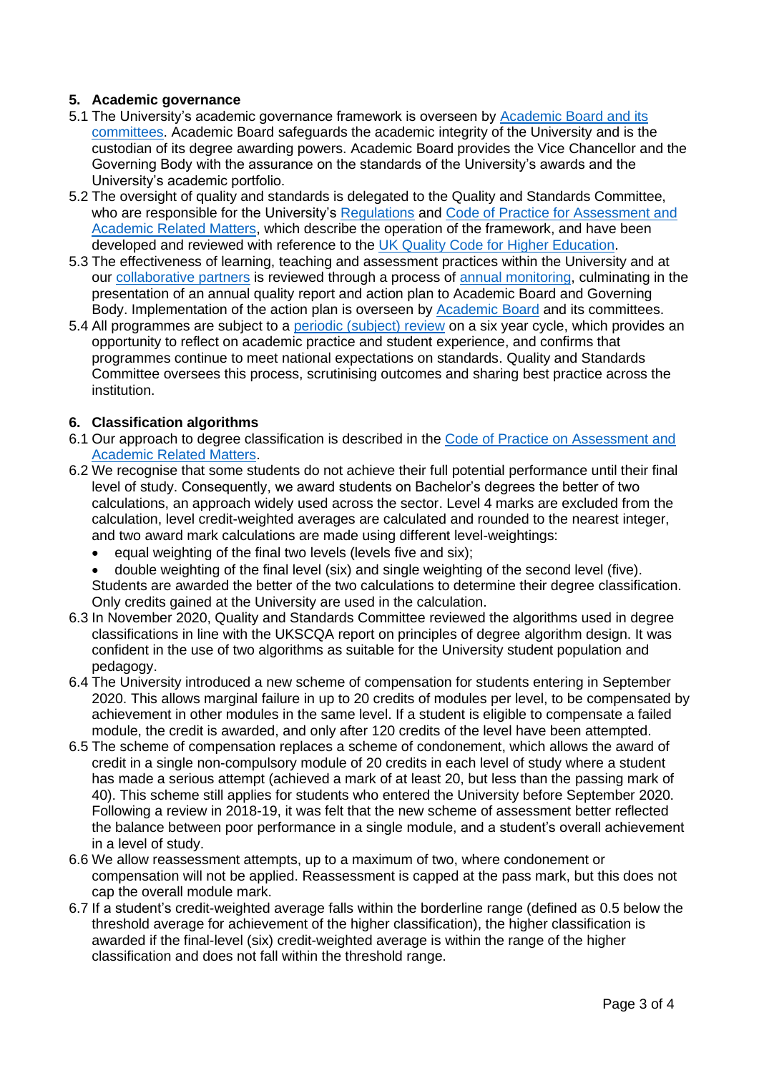# **5. Academic governance**

- 5.1 The University's academic governance framework is overseen by [Academic Board and its](https://www.yorksj.ac.uk/quality-gateway/our-approach/)  [committees.](https://www.yorksj.ac.uk/quality-gateway/our-approach/) Academic Board safeguards the academic integrity of the University and is the custodian of its degree awarding powers. Academic Board provides the Vice Chancellor and the Governing Body with the assurance on the standards of the University's awards and the University's academic portfolio.
- 5.2 The oversight of quality and standards is delegated to the Quality and Standards Committee, who are responsible for the University's [Regulations](https://www.yorksj.ac.uk/registry/regulations/) and Code of Practice for Assessment and [Academic Related Matters,](https://www.yorksj.ac.uk/registry/assessment/code-of-practice-for-assessment/) which describe the operation of the framework, and have been developed and reviewed with reference to the [UK Quality Code for Higher Education.](https://www.qaa.ac.uk/quality-code)
- 5.3 The effectiveness of learning, teaching and assessment practices within the University and at our [collaborative partners](https://www.yorksj.ac.uk/registry/quality-gateway/collaborative-provision/our-partners/) is reviewed through a process of [annual monitoring,](https://www.yorksj.ac.uk/registry/quality-gateway/programme-monitoring/annual-monitoring-amr-external-examiners/) culminating in the presentation of an annual quality report and action plan to Academic Board and Governing Body. Implementation of the action plan is overseen by [Academic Board](https://www.yorksj.ac.uk/quality-gateway/our-approach/) and its committees.
- 5.4 All programmes are subject to a [periodic \(subject\) review](https://www.yorksj.ac.uk/quality-gateway/programme-monitoring/periodic-subject-review/) on a six year cycle, which provides an opportunity to reflect on academic practice and student experience, and confirms that programmes continue to meet national expectations on standards. Quality and Standards Committee oversees this process, scrutinising outcomes and sharing best practice across the institution.

# **6. Classification algorithms**

- 6.1 Our approach to degree classification is described in the [Code of Practice on Assessment and](https://www.yorksj.ac.uk/media/content-assets/registry/policies/code-of-practice-for-assessment/34.Undergraduate_Awards_2019-20.pdf)  [Academic Related Matters.](https://www.yorksj.ac.uk/media/content-assets/registry/policies/code-of-practice-for-assessment/34.Undergraduate_Awards_2019-20.pdf)
- 6.2 We recognise that some students do not achieve their full potential performance until their final level of study. Consequently, we award students on Bachelor's degrees the better of two calculations, an approach widely used across the sector. Level 4 marks are excluded from the calculation, level credit-weighted averages are calculated and rounded to the nearest integer, and two award mark calculations are made using different level-weightings:
	- equal weighting of the final two levels (levels five and six):
	- double weighting of the final level (six) and single weighting of the second level (five). Students are awarded the better of the two calculations to determine their degree classification. Only credits gained at the University are used in the calculation.
- 6.3 In November 2020, Quality and Standards Committee reviewed the algorithms used in degree classifications in line with the UKSCQA report on principles of degree algorithm design. It was confident in the use of two algorithms as suitable for the University student population and pedagogy.
- 6.4 The University introduced a new scheme of compensation for students entering in September 2020. This allows marginal failure in up to 20 credits of modules per level, to be compensated by achievement in other modules in the same level. If a student is eligible to compensate a failed module, the credit is awarded, and only after 120 credits of the level have been attempted.
- 6.5 The scheme of compensation replaces a scheme of condonement, which allows the award of credit in a single non-compulsory module of 20 credits in each level of study where a student has made a serious attempt (achieved a mark of at least 20, but less than the passing mark of 40). This scheme still applies for students who entered the University before September 2020. Following a review in 2018-19, it was felt that the new scheme of assessment better reflected the balance between poor performance in a single module, and a student's overall achievement in a level of study.
- 6.6 We allow reassessment attempts, up to a maximum of two, where condonement or compensation will not be applied. Reassessment is capped at the pass mark, but this does not cap the overall module mark.
- 6.7 If a student's credit-weighted average falls within the borderline range (defined as 0.5 below the threshold average for achievement of the higher classification), the higher classification is awarded if the final-level (six) credit-weighted average is within the range of the higher classification and does not fall within the threshold range.